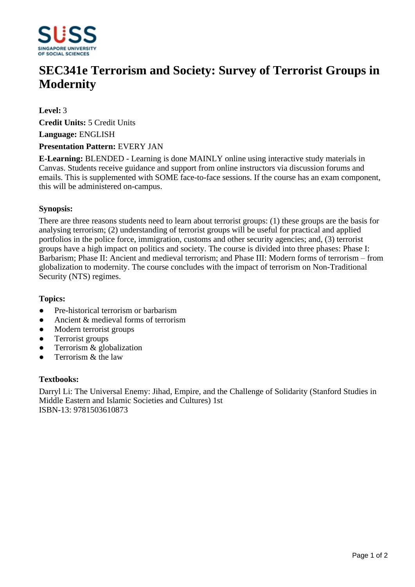

# **SEC341e Terrorism and Society: Survey of Terrorist Groups in Modernity**

## **Level:** 3

**Credit Units:** 5 Credit Units

**Language:** ENGLISH

### **Presentation Pattern:** EVERY JAN

**E-Learning:** BLENDED - Learning is done MAINLY online using interactive study materials in Canvas. Students receive guidance and support from online instructors via discussion forums and emails. This is supplemented with SOME face-to-face sessions. If the course has an exam component, this will be administered on-campus.

## **Synopsis:**

There are three reasons students need to learn about terrorist groups: (1) these groups are the basis for analysing terrorism; (2) understanding of terrorist groups will be useful for practical and applied portfolios in the police force, immigration, customs and other security agencies; and, (3) terrorist groups have a high impact on politics and society. The course is divided into three phases: Phase I: Barbarism; Phase II: Ancient and medieval terrorism; and Phase III: Modern forms of terrorism – from globalization to modernity. The course concludes with the impact of terrorism on Non-Traditional Security (NTS) regimes.

# **Topics:**

- Pre-historical terrorism or barbarism
- $\bullet$  Ancient & medieval forms of terrorism
- Modern terrorist groups
- Terrorist groups
- ƔTerrorism & globalization
- ƔTerrorism & the law

### **Textbooks:**

Darryl Li: The Universal Enemy: Jihad, Empire, and the Challenge of Solidarity (Stanford Studies in Middle Eastern and Islamic Societies and Cultures) 1st ISBN-13: 9781503610873